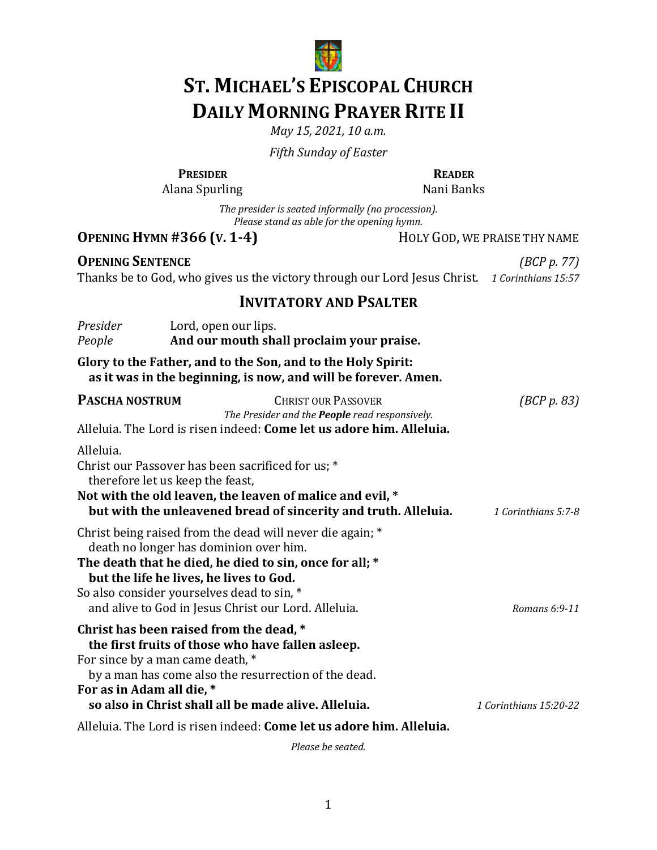

# **ST. MICHAEL'S EPISCOPAL CHURCH** DAILY MORNING PRAYER RITE II

*May 15, 2021, 10 a.m.*

*Fifth Sunday of Easter*

### **PRESIDER READER**

Alana Spurling The Communication of the Nani Banks

*The presider is seated informally (no procession). Please stand as able for the opening hymn.* 

**OPENING HYMN #366 (V. 1-4)** HOLY GOD, WE PRAISE THY NAME

**OPENING SENTENCE** *(BCP p. 77)* 

Thanks be to God, who gives us the victory through our Lord Jesus Christ. *1 Corinthians 15:57* 

## **INVITATORY AND PSALTER**

*Presider* Lord, open our lips. *People* **And our mouth shall proclaim your praise.** Glory to the Father, and to the Son, and to the Holy Spirit: as it was in the beginning, is now, and will be forever. Amen. **PASCHA NOSTRUM** CHRIST OUR PASSOVER *(BCP p. 83) The Presider and the People read responsively.* Alleluia. The Lord is risen indeed: **Come let us adore him. Alleluia.** Alleluia. Christ our Passover has been sacrificed for us; \* therefore let us keep the feast, Not with the old leaven, the leaven of malice and evil,  $*$ **but with the unleavened bread of sincerity and truth. Alleluia.** *1 Corinthians 5:7-8* Christ being raised from the dead will never die again;  $*$ death no longer has dominion over him. The death that he died, he died to sin, once for all; \* but the life he lives, he lives to God. So also consider yourselves dead to sin, \* and alive to God in Jesus Christ our Lord. Alleluia. *Romans* 6:9-11 Christ has been raised from the dead, \* the first fruits of those who have fallen asleep. For since by a man came death,  $*$ by a man has come also the resurrection of the dead. For as in Adam all die,  $*$ **so also in Christ shall all be made alive. Alleluia.** *1 Corinthians* 15:20-22 Alleluia. The Lord is risen indeed: **Come let us adore him. Alleluia.** 

*Please be seated.*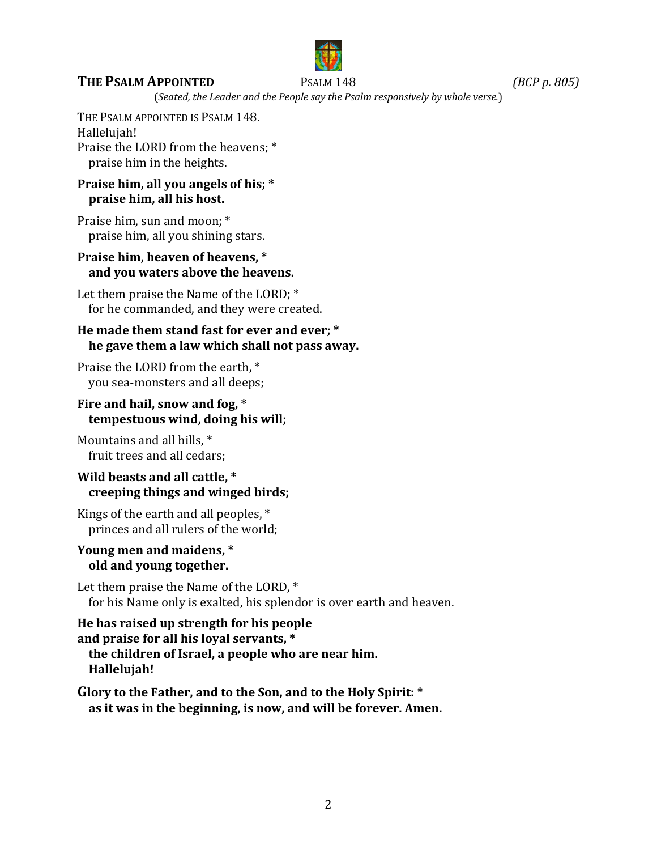## **THE PSALM APPOINTED** PSALM 148 *(BCP p. 805)*

(*Seated, the Leader and the People say the Psalm responsively by whole verse.*)

THE PSALM APPOINTED IS PSALM 148. Hallelujah! Praise the LORD from the heavens; \* praise him in the heights.

## **Praise him, all you angels of his; \* praise him, all his host.**

Praise him, sun and moon; \* praise him, all you shining stars.

## Praise him, heaven of heavens, \* and you waters above the heavens.

Let them praise the Name of the LORD;  $*$ for he commanded, and they were created.

### He made them stand fast for ever and ever; \*  **he gave them a law which shall not pass away.**

Praise the LORD from the earth, \* you sea-monsters and all deeps;

## **Fire and hail, snow and fog, \* tempestuous wind, doing his will;**

Mountains and all hills, \* fruit trees and all cedars:

## **Wild beasts and all cattle, \*** creeping things and winged birds;

Kings of the earth and all peoples,  $*$ princes and all rulers of the world;

## **Young men and maidens, \* old and young together.**

Let them praise the Name of the LORD,  $*$ for his Name only is exalted, his splendor is over earth and heaven.

### He has raised up strength for his people and praise for all his loyal servants, \* the children of Israel, a people who are near him.  **Hallelujah!**

Glory to the Father, and to the Son, and to the Holy Spirit: \* as it was in the beginning, is now, and will be forever. Amen.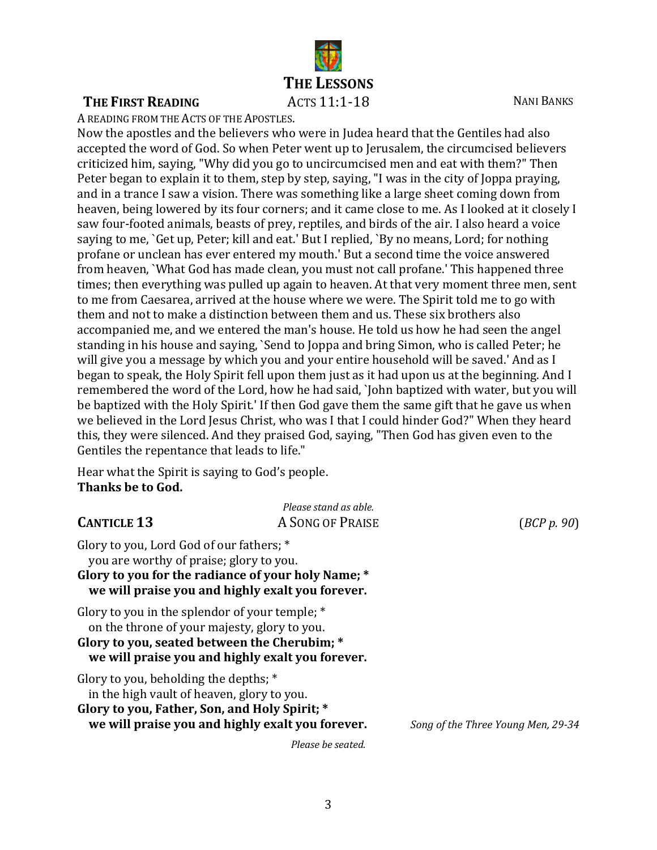

## **THE FIRST READING** ACTS 11:1-18 NANI BANKS

A READING FROM THE ACTS OF THE APOSTLES.

Now the apostles and the believers who were in Judea heard that the Gentiles had also accepted the word of God. So when Peter went up to Jerusalem, the circumcised believers criticized him, saying, "Why did you go to uncircumcised men and eat with them?" Then Peter began to explain it to them, step by step, saying, "I was in the city of Joppa praying, and in a trance I saw a vision. There was something like a large sheet coming down from heaven, being lowered by its four corners; and it came close to me. As I looked at it closely I saw four-footed animals, beasts of prey, reptiles, and birds of the air. I also heard a voice saying to me, `Get up, Peter; kill and eat.' But I replied, `By no means, Lord; for nothing profane or unclean has ever entered my mouth.' But a second time the voice answered from heaven, `What God has made clean, you must not call profane.' This happened three times; then everything was pulled up again to heaven. At that very moment three men, sent to me from Caesarea, arrived at the house where we were. The Spirit told me to go with them and not to make a distinction between them and us. These six brothers also accompanied me, and we entered the man's house. He told us how he had seen the angel standing in his house and saying, `Send to Joppa and bring Simon, who is called Peter; he will give you a message by which you and your entire household will be saved.' And as I began to speak, the Holy Spirit fell upon them just as it had upon us at the beginning. And I remembered the word of the Lord, how he had said, `John baptized with water, but you will be baptized with the Holy Spirit.' If then God gave them the same gift that he gave us when we believed in the Lord Jesus Christ, who was I that I could hinder God?" When they heard this, they were silenced. And they praised God, saying, "Then God has given even to the Gentiles the repentance that leads to life."

Hear what the Spirit is saying to God's people. **Thanks be to God.** 

|                                                                                                                                                | Please stand as able.                                                                                  |                                    |
|------------------------------------------------------------------------------------------------------------------------------------------------|--------------------------------------------------------------------------------------------------------|------------------------------------|
| <b>CANTICLE 13</b>                                                                                                                             | <b>A SONG OF PRAISE</b>                                                                                | (BCP p. 90)                        |
| Glory to you, Lord God of our fathers; *<br>you are worthy of praise; glory to you.                                                            | Glory to you for the radiance of your holy Name; *<br>we will praise you and highly exalt you forever. |                                    |
| Glory to you in the splendor of your temple; *<br>on the throne of your majesty, glory to you.<br>Glory to you, seated between the Cherubim; * | we will praise you and highly exalt you forever.                                                       |                                    |
| Glory to you, beholding the depths; *<br>in the high vault of heaven, glory to you.<br>Glory to you, Father, Son, and Holy Spirit; *           |                                                                                                        |                                    |
|                                                                                                                                                | we will praise you and highly exalt you forever.                                                       | Song of the Three Young Men, 29-34 |

*Please be seated.*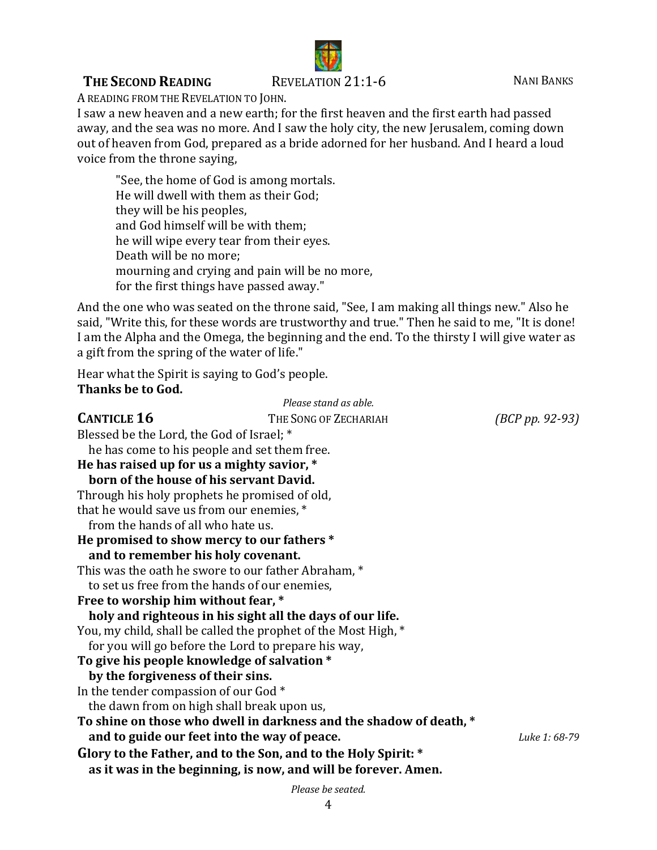

## **THE SECOND READING** REVELATION 21:1-6 NANI BANKS

A READING FROM THE REVELATION TO JOHN.

I saw a new heaven and a new earth; for the first heaven and the first earth had passed away, and the sea was no more. And I saw the holy city, the new Jerusalem, coming down out of heaven from God, prepared as a bride adorned for her husband. And I heard a loud voice from the throne saying,

"See, the home of God is among mortals. He will dwell with them as their God; they will be his peoples, and God himself will be with them; he will wipe every tear from their eyes. Death will be no more; mourning and crying and pain will be no more, for the first things have passed away."

And the one who was seated on the throne said, "See, I am making all things new." Also he said, "Write this, for these words are trustworthy and true." Then he said to me, "It is done! I am the Alpha and the Omega, the beginning and the end. To the thirsty I will give water as a gift from the spring of the water of life."

Hear what the Spirit is saying to God's people. **Thanks be to God.** 

*Please stand as able.* **CANTICLE 16** THE SONG OF ZECHARIAH *(BCP pp. 92-93)* Blessed be the Lord, the God of Israel; \* he has come to his people and set them free. He has raised up for us a mighty savior, \* **born of the house of his servant David.** Through his holy prophets he promised of old, that he would save us from our enemies.  $*$ from the hands of all who hate us. He promised to show mercy to our fathers \* and to remember his holy covenant. This was the oath he swore to our father Abraham, \* to set us free from the hands of our enemies, Free to worship him without fear, \* holy and righteous in his sight all the days of our life. You, my child, shall be called the prophet of the Most High,  $*$ for you will go before the Lord to prepare his way. To give his people knowledge of salvation \* by the forgiveness of their sins. In the tender compassion of our God  $*$ the dawn from on high shall break upon us, To shine on those who dwell in darkness and the shadow of death,  $*$ **and to guide our feet into the way of peace.** *Luke 1:* 68-79 Glory to the Father, and to the Son, and to the Holy Spirit: \* as it was in the beginning, is now, and will be forever. Amen.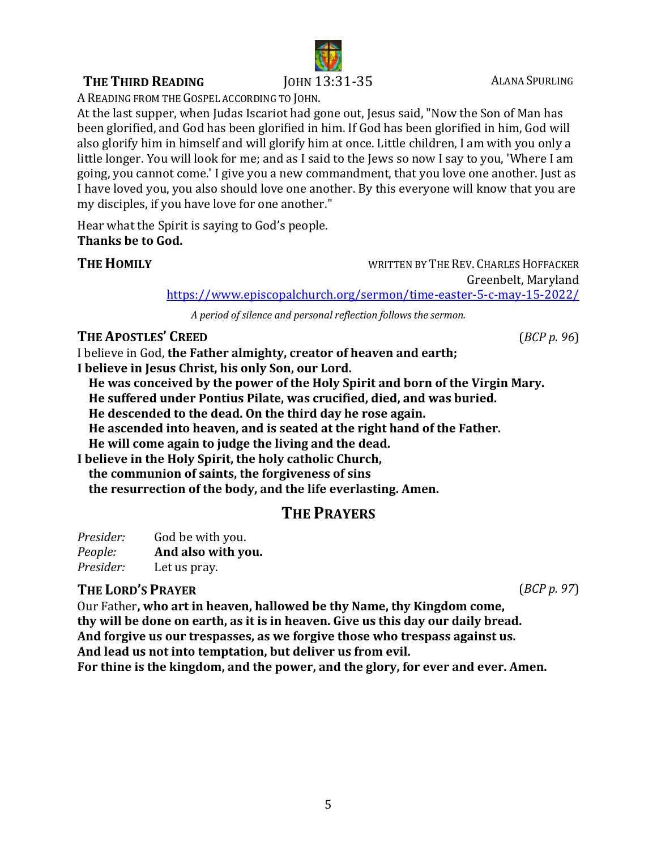#### 5

## **THE THIRD READING JOHN 13:31-35** ALANA SPURLING

A READING FROM THE GOSPEL ACCORDING TO JOHN.

At the last supper, when Judas Iscariot had gone out, Jesus said, "Now the Son of Man has been glorified, and God has been glorified in him. If God has been glorified in him, God will also glorify him in himself and will glorify him at once. Little children, I am with you only a little longer. You will look for me; and as I said to the Jews so now I say to you, 'Where I am going, you cannot come.' I give you a new commandment, that you love one another. Just as I have loved you, you also should love one another. By this everyone will know that you are my disciples, if you have love for one another."

Hear what the Spirit is saying to God's people.

**Thanks be to God.** 

| THE HOMILY | WRITTEN BY THE REV. CHARLES HOFFACKER                               |
|------------|---------------------------------------------------------------------|
|            | Greenbelt, Maryland                                                 |
|            | https://www.episcopalchurch.org/sermon/time-easter-5-c-may-15-2022/ |
|            | A period of silence and personal reflection follows the sermon.     |

## **THE APOSTLES' CREED** (*BCP p.* 96)

I believe in God, the Father almighty, creator of heaven and earth; I believe in Jesus Christ, his only Son, our Lord. He was conceived by the power of the Holy Spirit and born of the Virgin Mary. He suffered under Pontius Pilate, was crucified, died, and was buried. He descended to the dead. On the third day he rose again. He ascended into heaven, and is seated at the right hand of the Father. He will come again to judge the living and the dead. **I believe in the Holy Spirit, the holy catholic Church, the communion of saints, the forgiveness of sins the resurrection of the body, and the life everlasting. Amen.** 

## **THE PRAYERS**

| Presider: | God be with you.   |
|-----------|--------------------|
| People:   | And also with you. |
| Presider: | Let us pray.       |

## **THE LORD'S PRAYER** (*BCP p.* 97)

Our Father, who art in heaven, hallowed be thy Name, thy Kingdom come, **thy** will be done on earth, as it is in heaven. Give us this day our daily bread. And forgive us our trespasses, as we forgive those who trespass against us. And lead us not into temptation, but deliver us from evil. For thine is the kingdom, and the power, and the glory, for ever and ever. Amen.

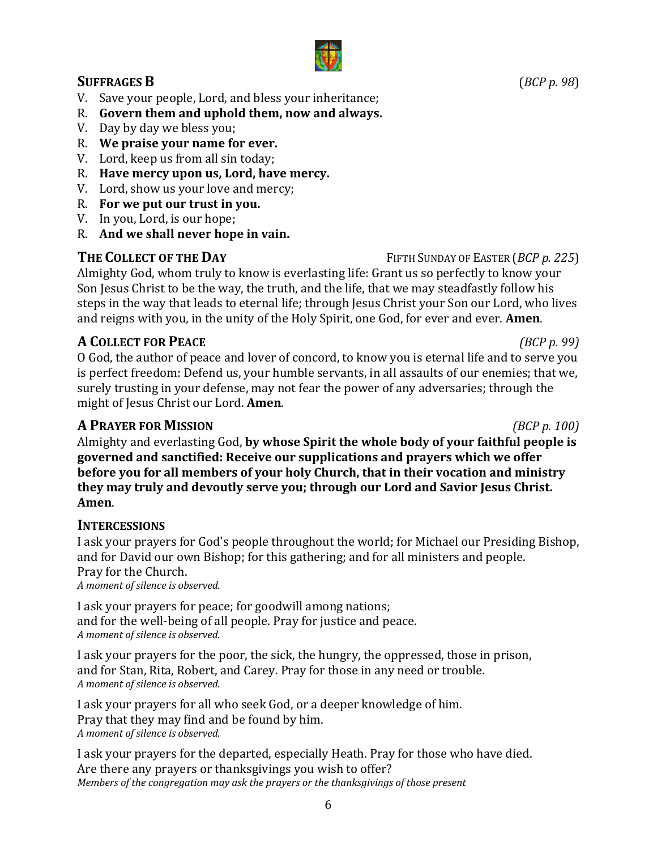## **SUFFRAGES B** (*BCP p. 98*)

V. Save your people, Lord, and bless your inheritance;

## R. Govern them and uphold them, now and always.

- V. Day by day we bless you;
- R. We praise your name for ever.
- V. Lord, keep us from all sin today;
- R. Have mercy upon us, Lord, have mercy.
- V. Lord, show us your love and mercy;
- R. For we put our trust in you.
- V. In you, Lord, is our hope;
- R. And we shall never hope in vain.

## **THE COLLECT OF THE DAY FIFTH SUNDAY OF EASTER (***BCP* **p. 225)**

Almighty God, whom truly to know is everlasting life: Grant us so perfectly to know your Son Jesus Christ to be the way, the truth, and the life, that we may steadfastly follow his steps in the way that leads to eternal life; through Jesus Christ your Son our Lord, who lives and reigns with you, in the unity of the Holy Spirit, one God, for ever and ever. **Amen**.

## **A COLLECT** FOR PEACE *(BCP p. 99)*

O God, the author of peace and lover of concord, to know you is eternal life and to serve you is perfect freedom: Defend us, your humble servants, in all assaults of our enemies; that we, surely trusting in your defense, may not fear the power of any adversaries; through the might of Jesus Christ our Lord. **Amen.** 

## **A PRAYER FOR MISSION** *(BCP p.* 100)

Almighty and everlasting God, by whose Spirit the whole body of your faithful people is governed and sanctified: Receive our supplications and prayers which we offer **before you for all members of your holy Church, that in their vocation and ministry** they may truly and devoutly serve you; through our Lord and Savior Jesus Christ. **Amen**.

## **INTERCESSIONS**

I ask your prayers for God's people throughout the world; for Michael our Presiding Bishop, and for David our own Bishop; for this gathering; and for all ministers and people. Pray for the Church. *A moment of silence is observed.*

I ask your prayers for peace; for goodwill among nations; and for the well-being of all people. Pray for justice and peace. *A moment of silence is observed.*

I ask your prayers for the poor, the sick, the hungry, the oppressed, those in prison, and for Stan, Rita, Robert, and Carey. Pray for those in any need or trouble. *A moment of silence is observed.*

I ask your prayers for all who seek God, or a deeper knowledge of him. Pray that they may find and be found by him. *A moment of silence is observed.*

I ask your prayers for the departed, especially Heath. Pray for those who have died. Are there any prayers or thanksgivings you wish to offer? *Members of the congregation may ask the prayers or the thanksgivings of those present* 

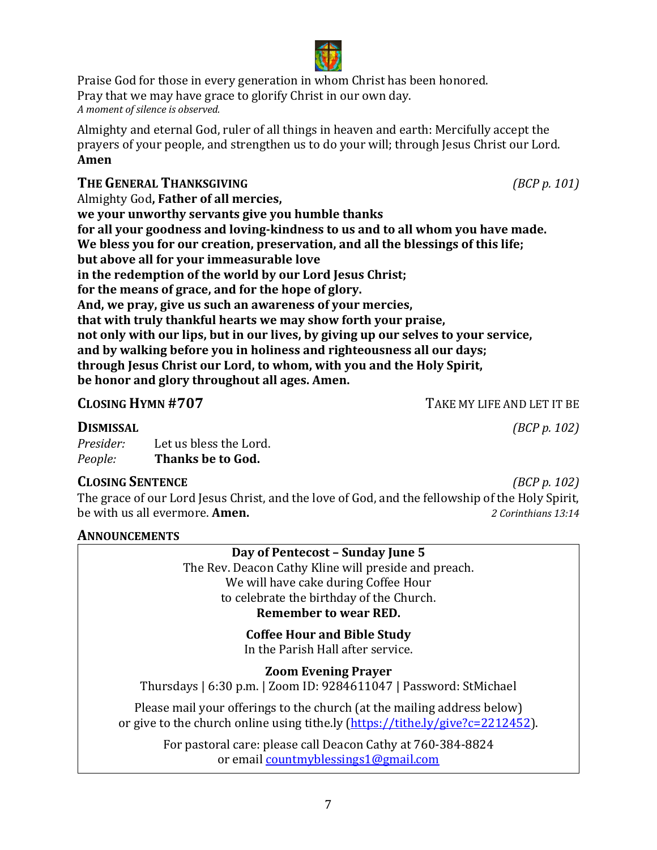Praise God for those in every generation in whom Christ has been honored. Pray that we may have grace to glorify Christ in our own day. *A moment of silence is observed.*

Almighty and eternal God, ruler of all things in heaven and earth: Mercifully accept the prayers of your people, and strengthen us to do your will; through Jesus Christ our Lord. **Amen**

**THE GENERAL THANKSGIVING** *(BCP p. 101)* Almighty God, **Father of all mercies**, **we your unworthy servants give you humble thanks** for all your goodness and loving-kindness to us and to all whom you have made. We bless you for our creation, preservation, and all the blessings of this life; **but above all for your immeasurable love** in the redemption of the world by our Lord Jesus Christ; for the means of grace, and for the hope of glory. And, we pray, give us such an awareness of your mercies, that with truly thankful hearts we may show forth your praise, not only with our lips, but in our lives, by giving up our selves to your service, and by walking before you in holiness and righteousness all our days; through Jesus Christ our Lord, to whom, with you and the Holy Spirit, be honor and glory throughout all ages. Amen.

## **CLOSING HYMN #707** TAKE MY LIFE AND LET IT BE

*Presider:* Let us bless the Lord.<br>*People:* Thanks be to God. **Thanks be to God.** 

## **CLOSING SENTENCE** *(BCP p. 102)*

The grace of our Lord Jesus Christ, and the love of God, and the fellowship of the Holy Spirit,<br>be with us all evermore. **Amen.**  $\frac{2 \text{ Corinthians } 13:14}{2 \text{ Corinthians } 13:14}$ be with us all evermore. **Amen.** 

### **ANNOUNCEMENTS**

**Day of Pentecost – Sunday June 5**

The Rev. Deacon Cathy Kline will preside and preach. We will have cake during Coffee Hour to celebrate the birthday of the Church. **Remember to wear RED.** 

**Coffee Hour and Bible Study** 

In the Parish Hall after service.

**Zoom Evening Prayer**  Thursdays | 6:30 p.m. | Zoom ID: 9284611047 | Password: StMichael

Please mail your offerings to the church (at the mailing address below) or give to the church online using tithe.ly (https://tithe.ly/give?c=2212452).

> For pastoral care: please call Deacon Cathy at 760-384-8824 or email countmyblessings1@gmail.com

**DISMISSAL** *(BCP p.* 102)